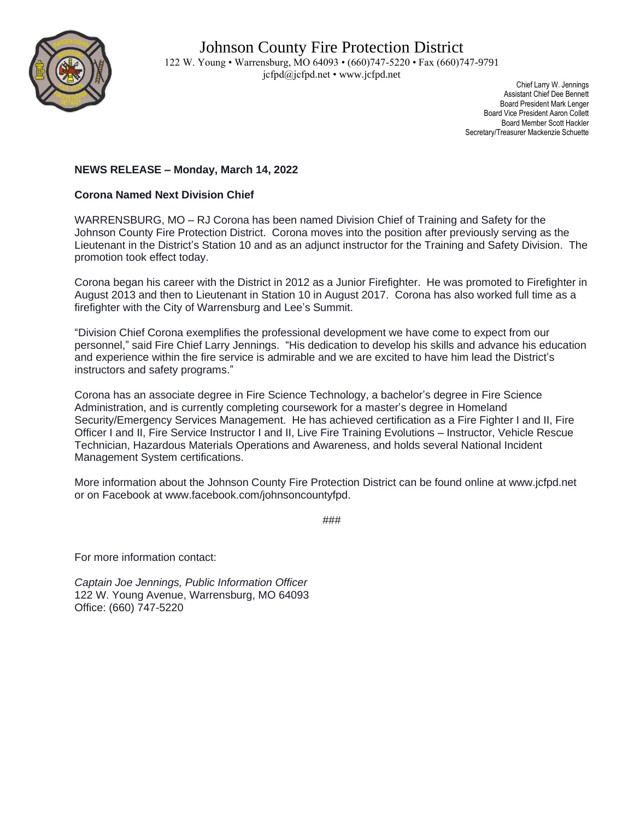

 Chief Larry W. Jennings Assistant Chief Dee Bennett Board President Mark Lenger Board Vice President Aaron Collett Board Member Scott Hackler Secretary/Treasurer Mackenzie Schuette

## **NEWS RELEASE – Monday, March 14, 2022**

## **Corona Named Next Division Chief**

WARRENSBURG, MO – RJ Corona has been named Division Chief of Training and Safety for the Johnson County Fire Protection District. Corona moves into the position after previously serving as the Lieutenant in the District's Station 10 and as an adjunct instructor for the Training and Safety Division. The promotion took effect today.

Corona began his career with the District in 2012 as a Junior Firefighter. He was promoted to Firefighter in August 2013 and then to Lieutenant in Station 10 in August 2017. Corona has also worked full time as a firefighter with the City of Warrensburg and Lee's Summit.

"Division Chief Corona exemplifies the professional development we have come to expect from our personnel," said Fire Chief Larry Jennings. "His dedication to develop his skills and advance his education and experience within the fire service is admirable and we are excited to have him lead the District's instructors and safety programs."

Corona has an associate degree in Fire Science Technology, a bachelor's degree in Fire Science Administration, and is currently completing coursework for a master's degree in Homeland Security/Emergency Services Management. He has achieved certification as a Fire Fighter I and II, Fire Officer I and II, Fire Service Instructor I and II, Live Fire Training Evolutions – Instructor, Vehicle Rescue Technician, Hazardous Materials Operations and Awareness, and holds several National Incident Management System certifications.

More information about the Johnson County Fire Protection District can be found online at www.jcfpd.net or on Facebook at www.facebook.com/johnsoncountyfpd.

###

For more information contact:

*Captain Joe Jennings, Public Information Officer* 122 W. Young Avenue, Warrensburg, MO 64093 Office: (660) 747-5220